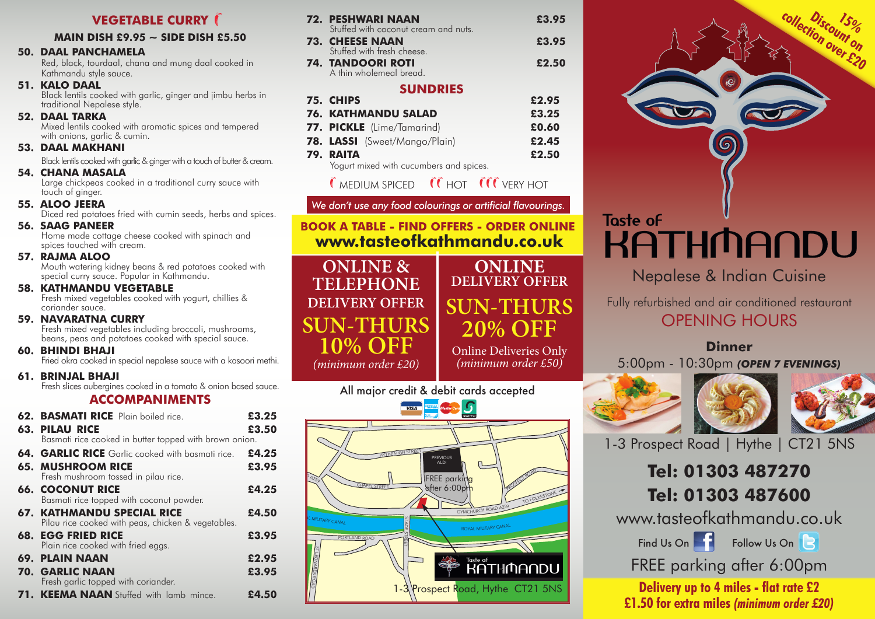## **VEGETABLE CURRY (**

#### **MAIN DISH £9.95 ~ SIDE DISH £5.50**

#### **50. DAAL PANCHAMELA**

Red, black, tourdaal, chana and mung daal cooked in Kathmandu style sauce.

**51. KALO DAAL**<br>Black lentils cooked with garlic, ginger and jimbu herbs in traditional Nepalese style.

**52. DAAL TARKA**<br>Mixed lentils cooked with aromatic spices and tempered with onions, garlic & cumin.

#### **53. DAAL MAKHANI**

Black lentils cooked with garlic & ginger with a touch of butter & cream.

**54. CHANA MASALA**<br>Large chickpeas cooked in a traditional curry sauce with touch of ginger.

**55. ALOO JEERA**<br>Diced red potatoes fried with cumin seeds, herbs and spices.

**56. SAAG PANEER** Home made cottage cheese cooked with spinach and spices touched with cream.

**57. RAJMA ALOO** Mouth watering kidney beans & red potatoes cooked with special curry sauce. Popular in Kathmandu.

## **58. KATHMANDU VEGETABLE**

Fresh mixed vegetables cooked with yogurt, chillies & coriander sauce.

#### **59. NAVARATNA CURRY**

Fresh mixed vegetables including broccoli, mushrooms, beans, peas and potatoes cooked with special sauce.

**60. BHINDI BHAJI**<br>Fried okra cooked in special nepalese sauce with a kasoori methi.

**61. BRINJAL BHAJI**<br>Fresh slices aubergines cooked in a tomato & onion based sauce.

#### **ACCOMPANIMENTS**

| <b>62. BASMATI RICE</b> Plain boiled rice.                                              | £3.25 |
|-----------------------------------------------------------------------------------------|-------|
| <b>63. PILAU RICE</b>                                                                   | £3.50 |
| Basmati rice cooked in butter topped with brown onion.                                  |       |
| <b>64. GARLIC RICE</b> Garlic cooked with basmati rice.                                 | £4.25 |
| <b>65. MUSHROOM RICE</b><br>Fresh mushroom tossed in pilau rice.                        | £3.95 |
| <b>66. COCONUT RICE</b><br>Basmati rice topped with coconut powder.                     | £4.25 |
| <b>67. KATHMANDU SPECIAL RICE</b><br>Pilau rice cooked with peas, chicken & vegetables. | £4.50 |
| <b>68. EGG FRIED RICE</b><br>Plain rice cooked with fried eggs.                         | £3.95 |
| 69. PLAIN NAAN                                                                          | £2.95 |
| <b>70. GARLIC NAAN</b><br>Fresh garlic topped with coriander.                           | £3.95 |
| 71. KEEMA NAAN Stuffed with lamb mince.                                                 | £4.50 |

| 72. PESHWARI NAAN<br>Stuffed with coconut cream and nuts. | £3.95 |
|-----------------------------------------------------------|-------|
| <b>73. CHEESE NAAN</b><br>Stuffed with fresh cheese.      | £3.95 |
| 74. TANDOORI ROTI<br>A thin wholemeal bread.              | £2.50 |
| <b>SUNDRIES</b><br>75. CHIPS                              | £2.95 |
| <b>76. KATHMANDU SALAD</b>                                | £3.25 |
| 77. PICKLE (Lime/Tamarind)                                | £0.60 |

#### Yogurt mixed with cucumbers and spices.

**ONLINE & TELEPHONE DELIVERY OFFER**

**SUN-THURS**

**10% OFF** *(minimum order £20)*

## $\epsilon$  MEDIUM SPICED  $\epsilon$   $\epsilon$  HOT  $\epsilon$   $\epsilon$  VERY HOT

**78. LASSI** (Sweet/Mango/Plain) **£2.45 79. RAITA £2.50**

## *We don't use any food colourings or artificial flavourings.*

**BOOK A TABLE - FIND OFFERS - ORDER ONLINE www.tasteofkathmandu.co.uk**

> **ONLINE DELIVERY OFFER SUN-THURS 20% OFF**

Online Deliveries Only *(minimum order £50)*

All major credit & debit cards accepted





# **KATHMANDU**

Nepalese & Indian Cuisine

Fully refurbished and air conditioned restaurant OPENING HOURS

## **Dinner**

5:00pm - 10:30pm *(OPEN 7 EVENINGS)*





1-3 Prospect Road | Hythe | CT21 5NS

# **Tel: 01303 487270 Tel: 01303 487600**

www.tasteofkathmandu.co.uk

Find Us On  $\blacksquare$  Follow Us On  $\blacksquare$ 

FREE parking after 6:00pm

**Delivery up to 4 miles - flat rate £2 £1.50 for extra miles** *(minimum order £20)*